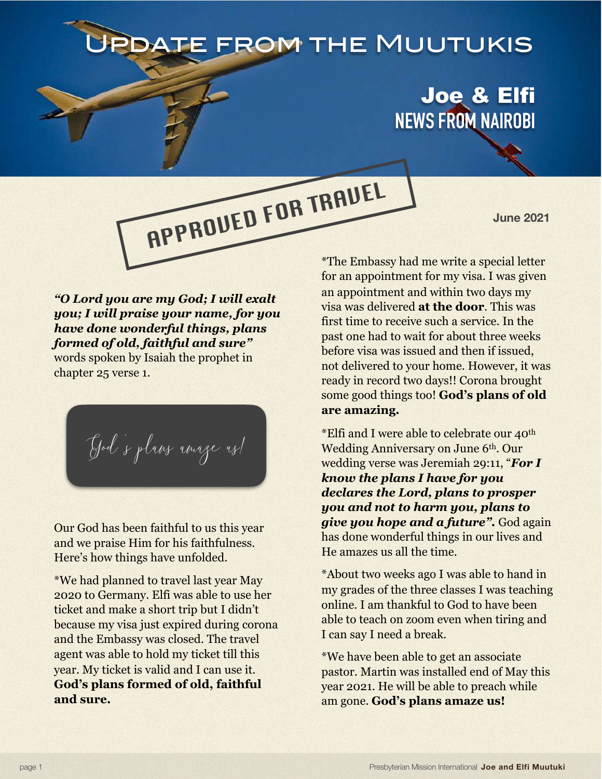## DATE FROM THE MUUTUKIS

APPROVED FOR TRAVEL

## Joe & Elfi **NEWS FROM NAIROBI**

**June 2021**

*"O Lord you are my God; I will exalt you; I will praise your name, for you have done wonderful things, plans formed of old, faithful and sure"* words spoken by Isaiah the prophet in chapter 25 verse 1.

God 's plans amaze us!

Our God has been faithful to us this year and we praise Him for his faithfulness. Here's how things have unfolded.

\*We had planned to travel last year May 2020 to Germany. Elfi was able to use her ticket and make a short trip but I didn't because my visa just expired during corona and the Embassy was closed. The travel agent was able to hold my ticket till this year. My ticket is valid and I can use it. **God's plans formed of old, faithful and sure.**

\*The Embassy had me write a special letter for an appointment for my visa. I was given an appointment and within two days my visa was delivered **at the door**. This was first time to receive such a service. In the past one had to wait for about three weeks before visa was issued and then if issued, not delivered to your home. However, it was ready in record two days!! Corona brought some good things too! **God's plans of old are amazing.**

\*Elfi and I were able to celebrate our 40th Wedding Anniversary on June 6th. Our wedding verse was Jeremiah 29:11, "*For I know the plans I have for you declares the Lord, plans to prosper you and not to harm you, plans to give you hope and a future".* God again has done wonderful things in our lives and He amazes us all the time.

\*About two weeks ago I was able to hand in my grades of the three classes I was teaching online. I am thankful to God to have been able to teach on zoom even when tiring and I can say I need a break.

\*We have been able to get an associate pastor. Martin was installed end of May this year 2021. He will be able to preach while am gone. **God's plans amaze us!**